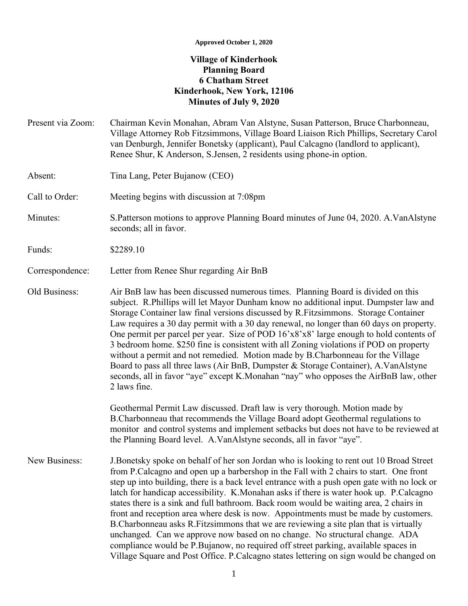## **Approved October 1, 2020**

## **Village of Kinderhook Planning Board 6 Chatham Street Kinderhook, New York, 12106 Minutes of July 9, 2020**

- Present via Zoom: Chairman Kevin Monahan, Abram Van Alstyne, Susan Patterson, Bruce Charbonneau, Village Attorney Rob Fitzsimmons, Village Board Liaison Rich Phillips, Secretary Carol van Denburgh, Jennifer Bonetsky (applicant), Paul Calcagno (landlord to applicant), Renee Shur, K Anderson, S.Jensen, 2 residents using phone-in option.
- Absent: Tina Lang, Peter Bujanow (CEO)

Call to Order: Meeting begins with discussion at 7:08pm

Minutes: S.Patterson motions to approve Planning Board minutes of June 04, 2020. A.VanAlstyne seconds; all in favor.

Funds: \$2289.10

## Correspondence: Letter from Renee Shur regarding Air BnB

Old Business: Air BnB law has been discussed numerous times. Planning Board is divided on this subject. R.Phillips will let Mayor Dunham know no additional input. Dumpster law and Storage Container law final versions discussed by R.Fitzsimmons. Storage Container Law requires a 30 day permit with a 30 day renewal, no longer than 60 days on property. One permit per parcel per year. Size of POD 16'x8'x8' large enough to hold contents of 3 bedroom home. \$250 fine is consistent with all Zoning violations if POD on property without a permit and not remedied. Motion made by B.Charbonneau for the Village Board to pass all three laws (Air BnB, Dumpster & Storage Container), A.VanAlstyne seconds, all in favor "aye" except K.Monahan "nay" who opposes the AirBnB law, other 2 laws fine.

> Geothermal Permit Law discussed. Draft law is very thorough. Motion made by B.Charbonneau that recommends the Village Board adopt Geothermal regulations to monitor and control systems and implement setbacks but does not have to be reviewed at the Planning Board level. A.VanAlstyne seconds, all in favor "aye".

New Business: J.Bonetsky spoke on behalf of her son Jordan who is looking to rent out 10 Broad Street from P.Calcagno and open up a barbershop in the Fall with 2 chairs to start. One front step up into building, there is a back level entrance with a push open gate with no lock or latch for handicap accessibility. K.Monahan asks if there is water hook up. P.Calcagno states there is a sink and full bathroom. Back room would be waiting area, 2 chairs in front and reception area where desk is now. Appointments must be made by customers. B.Charbonneau asks R.Fitzsimmons that we are reviewing a site plan that is virtually unchanged. Can we approve now based on no change. No structural change. ADA compliance would be P.Bujanow, no required off street parking, available spaces in Village Square and Post Office. P.Calcagno states lettering on sign would be changed on